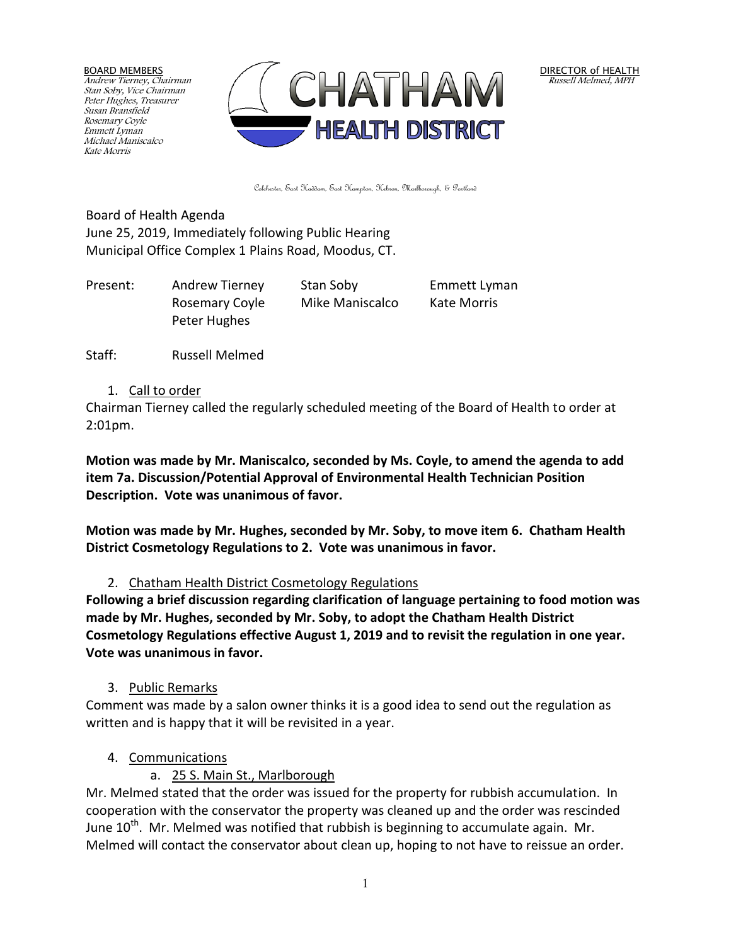BOARD MEMBERS Andrew Tierney, Chairman Stan Soby, Vice Chairman Peter Hughes, Treasurer Susan Bransfield Rosemary Coyle Emmett Lyman Michael Maniscalco Kate Morris



DIRECTOR of HEALTH Russell Melmed, MPH

Colchester, East Haddam, East Hampton, Hebron, Marlborough, & Portland

Board of Health Agenda June 25, 2019, Immediately following Public Hearing Municipal Office Complex 1 Plains Road, Moodus, CT.

Present: Andrew Tierney Stan Soby Emmett Lyman Rosemary Coyle Mike Maniscalco Kate Morris Peter Hughes

Staff: Russell Melmed

1. Call to order

Chairman Tierney called the regularly scheduled meeting of the Board of Health to order at 2:01pm.

**Motion was made by Mr. Maniscalco, seconded by Ms. Coyle, to amend the agenda to add item 7a. Discussion/Potential Approval of Environmental Health Technician Position Description. Vote was unanimous of favor.** 

**Motion was made by Mr. Hughes, seconded by Mr. Soby, to move item 6. Chatham Health District Cosmetology Regulations to 2. Vote was unanimous in favor.**

2. Chatham Health District Cosmetology Regulations

**Following a brief discussion regarding clarification of language pertaining to food motion was made by Mr. Hughes, seconded by Mr. Soby, to adopt the Chatham Health District Cosmetology Regulations effective August 1, 2019 and to revisit the regulation in one year. Vote was unanimous in favor.**

3. Public Remarks

Comment was made by a salon owner thinks it is a good idea to send out the regulation as written and is happy that it will be revisited in a year.

- 4. Communications
	- a. 25 S. Main St., Marlborough

Mr. Melmed stated that the order was issued for the property for rubbish accumulation. In cooperation with the conservator the property was cleaned up and the order was rescinded June  $10^{th}$ . Mr. Melmed was notified that rubbish is beginning to accumulate again. Mr. Melmed will contact the conservator about clean up, hoping to not have to reissue an order.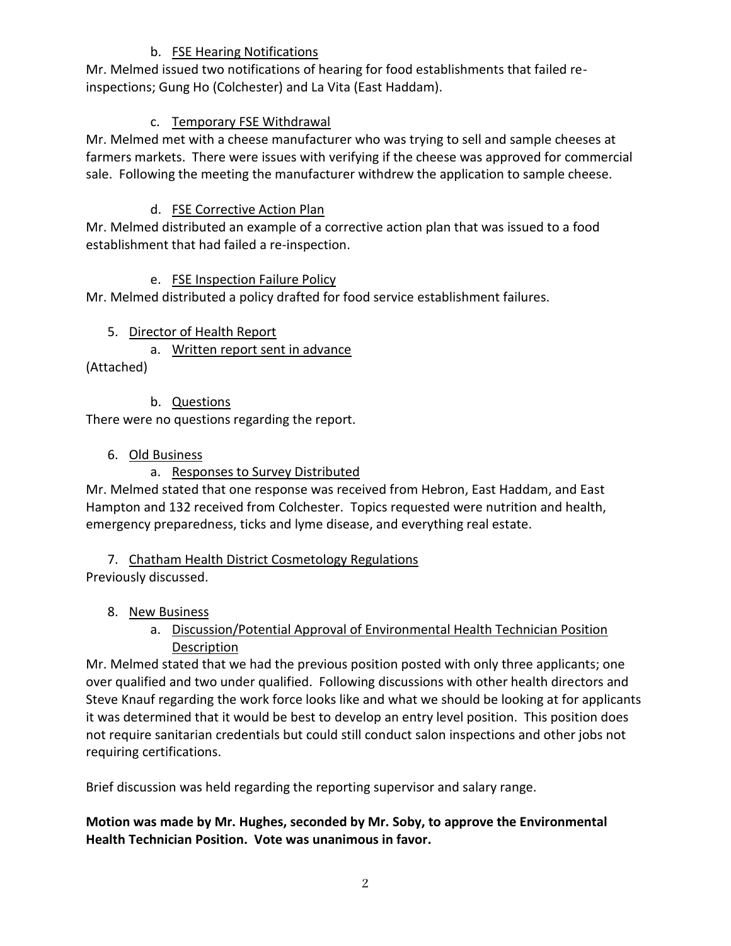#### b. FSE Hearing Notifications

Mr. Melmed issued two notifications of hearing for food establishments that failed reinspections; Gung Ho (Colchester) and La Vita (East Haddam).

# c. Temporary FSE Withdrawal

Mr. Melmed met with a cheese manufacturer who was trying to sell and sample cheeses at farmers markets. There were issues with verifying if the cheese was approved for commercial sale. Following the meeting the manufacturer withdrew the application to sample cheese.

# d. FSE Corrective Action Plan

Mr. Melmed distributed an example of a corrective action plan that was issued to a food establishment that had failed a re-inspection.

#### e. FSE Inspection Failure Policy

Mr. Melmed distributed a policy drafted for food service establishment failures.

#### 5. Director of Health Report

a. Written report sent in advance

(Attached)

# b. Questions

There were no questions regarding the report.

# 6. Old Business

# a. Responses to Survey Distributed

Mr. Melmed stated that one response was received from Hebron, East Haddam, and East Hampton and 132 received from Colchester. Topics requested were nutrition and health, emergency preparedness, ticks and lyme disease, and everything real estate.

# 7. Chatham Health District Cosmetology Regulations

Previously discussed.

# 8. New Business

# a. Discussion/Potential Approval of Environmental Health Technician Position Description

Mr. Melmed stated that we had the previous position posted with only three applicants; one over qualified and two under qualified. Following discussions with other health directors and Steve Knauf regarding the work force looks like and what we should be looking at for applicants it was determined that it would be best to develop an entry level position. This position does not require sanitarian credentials but could still conduct salon inspections and other jobs not requiring certifications.

Brief discussion was held regarding the reporting supervisor and salary range.

**Motion was made by Mr. Hughes, seconded by Mr. Soby, to approve the Environmental Health Technician Position. Vote was unanimous in favor.**